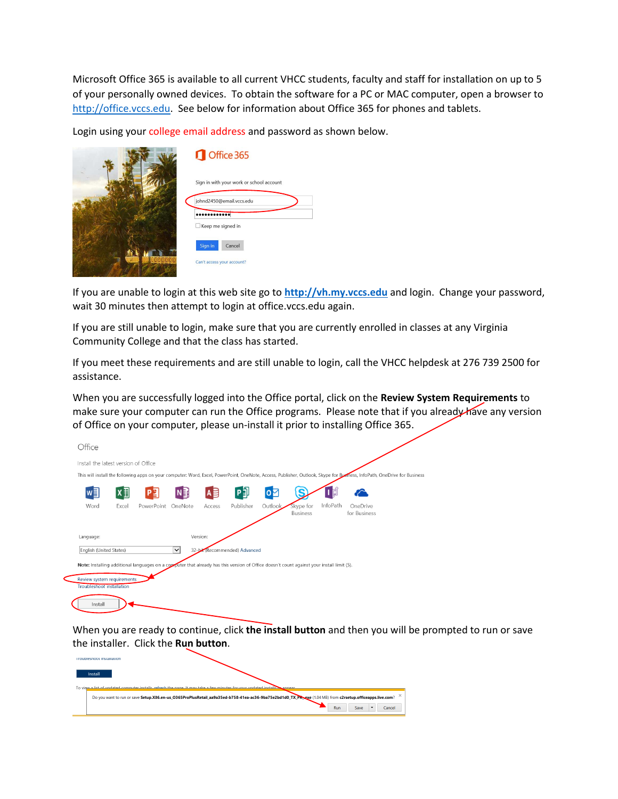Microsoft Office 365 is available to all current VHCC students, faculty and staff for installation on up to 5 of your personally owned devices. To obtain the software for a PC or MAC computer, open a browser to [http://office.vccs.edu.](http://office.vccs.edu/) See below for information about Office 365 for phones and tablets.

Login using your college email address and password as shown below.

|                | Office 365                               |
|----------------|------------------------------------------|
|                | Sign in with your work or school account |
|                | johnd2450@email.vccs.edu                 |
|                |                                          |
|                | Keep me signed in                        |
|                | Sign in<br>Cancel                        |
| <b>ERRENEE</b> | Can't access your account?               |

If you are unable to login at this web site go to **[http://vh.my.vccs.edu](http://vh.my.vccs.edu/)** and login. Change your password, wait 30 minutes then attempt to login at office.vccs.edu again.

If you are still unable to login, make sure that you are currently enrolled in classes at any Virginia Community College and that the class has started.

If you meet these requirements and are still unable to login, call the VHCC helpdesk at 276 739 2500 for assistance.

When you are successfully logged into the Office portal, click on the **Review System Requirements** to make sure your computer can run the Office programs. Please note that if you already have any version of Office on your computer, please un-install it prior to installing Office 365.

| Office                               |            |                                                                                                                                           |              |          |                               |           |                       |          |                                                                                                                                                                          |  |
|--------------------------------------|------------|-------------------------------------------------------------------------------------------------------------------------------------------|--------------|----------|-------------------------------|-----------|-----------------------|----------|--------------------------------------------------------------------------------------------------------------------------------------------------------------------------|--|
| Install the latest version of Office |            |                                                                                                                                           |              |          |                               |           |                       |          |                                                                                                                                                                          |  |
|                                      |            |                                                                                                                                           |              |          |                               |           |                       |          | This will install the following apps on your computer: Word, Excel, PowerPoint, OneNote, Access, Publisher, Outlook, Skype for Byenness, InfoPath, OneDrive for Business |  |
| w≣                                   | $X \equiv$ | Ľ<br>P                                                                                                                                    | ΝĐ           | A≣       | P∃L                           | $\bullet$ |                       |          |                                                                                                                                                                          |  |
| Word                                 | Excel      | PowerPoint                                                                                                                                | OneNote      | Access   | Publisher                     | Outlook,  | Skype for<br>Business | InfoPath | OneDrive<br>for Business                                                                                                                                                 |  |
| Language:                            |            |                                                                                                                                           |              | Version: |                               |           |                       |          |                                                                                                                                                                          |  |
| English (United States)              |            |                                                                                                                                           | $\checkmark$ |          | 32-bit (Recommended) Advanced |           |                       |          |                                                                                                                                                                          |  |
|                                      |            | Note: Installing additional languages on a copputer that already has this version of Office doesn't count against your install limit (5). |              |          |                               |           |                       |          |                                                                                                                                                                          |  |
| Review system requirements           |            |                                                                                                                                           |              |          |                               |           |                       |          |                                                                                                                                                                          |  |
| <b>Troubleshoot installation</b>     |            |                                                                                                                                           |              |          |                               |           |                       |          |                                                                                                                                                                          |  |
| Install                              |            |                                                                                                                                           |              |          |                               |           |                       |          |                                                                                                                                                                          |  |

When you are ready to continue, click **the install button** and then you will be prompted to run or save the installer. Click the **Run button**.

| Troubleshoot installation                                                                                                                                |                                                                                                                           |  |  |     |      |        |  |
|----------------------------------------------------------------------------------------------------------------------------------------------------------|---------------------------------------------------------------------------------------------------------------------------|--|--|-----|------|--------|--|
| Install                                                                                                                                                  | To view a list of undated computer installs, refresh the nane. It may take a few minutes for your undated installs annear |  |  |     |      |        |  |
| Do you want to run or save Setup.X86.en-us_O365ProPlusRetail_aa9a35ed-b758-41ea-ac36-9ba75e2bd1d0_TX_PR_exe (1.04 MB) from c2rsetup.officeapps.live.com? |                                                                                                                           |  |  |     |      |        |  |
|                                                                                                                                                          |                                                                                                                           |  |  | Run | Save | Cancel |  |